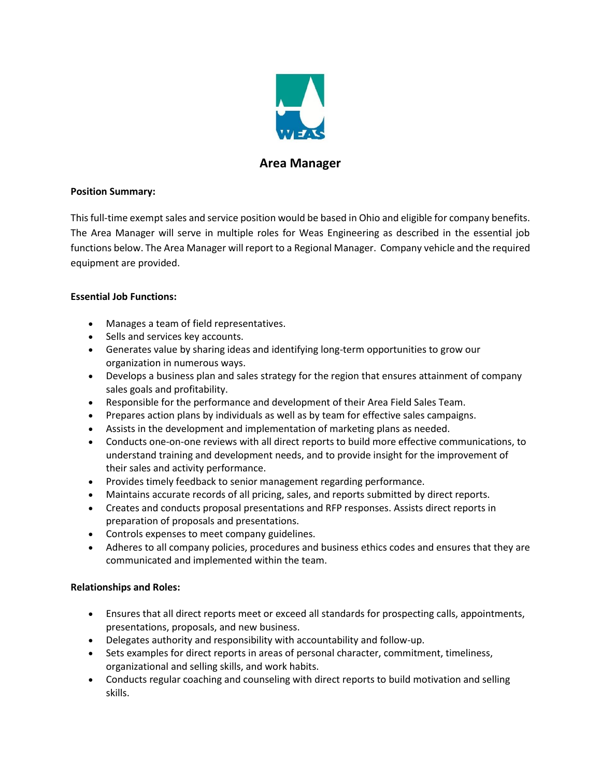

# **Area Manager**

### **Position Summary:**

This full-time exempt sales and service position would be based in Ohio and eligible for company benefits. The Area Manager will serve in multiple roles for Weas Engineering as described in the essential job functions below. The Area Manager will report to a Regional Manager. Company vehicle and the required equipment are provided.

### **Essential Job Functions:**

- Manages a team of field representatives.
- Sells and services key accounts.
- Generates value by sharing ideas and identifying long-term opportunities to grow our organization in numerous ways.
- Develops a business plan and sales strategy for the region that ensures attainment of company sales goals and profitability.
- Responsible for the performance and development of their Area Field Sales Team.
- Prepares action plans by individuals as well as by team for effective sales campaigns.
- Assists in the development and implementation of marketing plans as needed.
- Conducts one-on-one reviews with all direct reports to build more effective communications, to understand training and development needs, and to provide insight for the improvement of their sales and activity performance.
- Provides timely feedback to senior management regarding performance.
- Maintains accurate records of all pricing, sales, and reports submitted by direct reports.
- Creates and conducts proposal presentations and RFP responses. Assists direct reports in preparation of proposals and presentations.
- Controls expenses to meet company guidelines.
- Adheres to all company policies, procedures and business ethics codes and ensures that they are communicated and implemented within the team.

## **Relationships and Roles:**

- Ensures that all direct reports meet or exceed all standards for prospecting calls, appointments, presentations, proposals, and new business.
- Delegates authority and responsibility with accountability and follow-up.
- Sets examples for direct reports in areas of personal character, commitment, timeliness, organizational and selling skills, and work habits.
- Conducts regular coaching and counseling with direct reports to build motivation and selling skills.